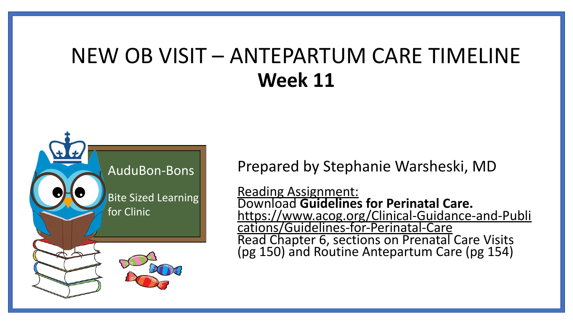### NEW OB VISIT – ANTEPARTUM CARE TIMELINE **Week 11**



Prepared by Stephanie Warsheski, MD

Reading Assignment: Download **Guidelines for Perinatal Care.** [https://www.acog.org/Clinical-Guidance-and-Publi](https://www.acog.org/Clinical-Guidance-and-Publications/Guidelines-for-Perinatal-Care) [cations/Guidelines-for-Perinatal-Care](https://www.acog.org/Clinical-Guidance-and-Publications/Guidelines-for-Perinatal-Care) Read Chapter 6, sections on Prenatal Care Visits (pg 150) and Routine Antepartum Care (pg 154)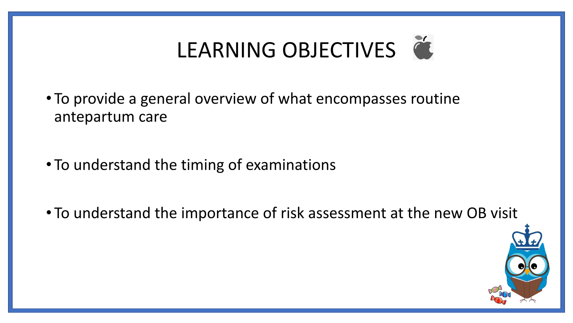# LEARNING OBJECTIVES

- To provide a general overview of what encompasses routine antepartum care
- To understand the timing of examinations
- To understand the importance of risk assessment at the new OB visit

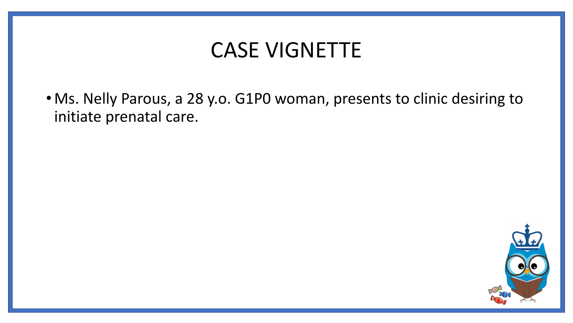### CASE VIGNETTE

• Ms. Nelly Parous, a 28 y.o. G1P0 woman, presents to clinic desiring to initiate prenatal care.

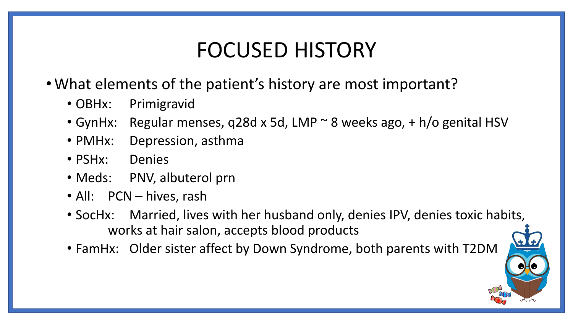### FOCUSED HISTORY

- •What elements of the patient's history are most important?
	- OBHx: Primigravid
	- GynHx: Regular menses, q28d x 5d, LMP ~ 8 weeks ago, + h/o genital HSV
	- PMHx: Depression, asthma
	- PSHx: Denies
	- Meds: PNV, albuterol prn
	- All: PCN hives, rash
	- SocHx: Married, lives with her husband only, denies IPV, denies toxic habits, works at hair salon, accepts blood products
	- FamHx: Older sister affect by Down Syndrome, both parents with T2DM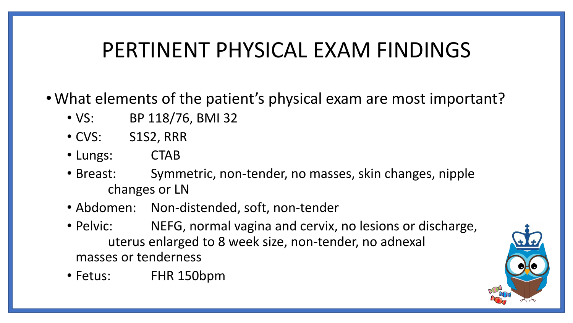### PERTINENT PHYSICAL EXAM FINDINGS

- •What elements of the patient's physical exam are most important?
	- VS: BP 118/76, BMI 32
	- CVS: S1S2, RRR
	- Lungs: CTAB
	- Breast: Symmetric, non-tender, no masses, skin changes, nipple changes or LN
	- Abdomen: Non-distended, soft, non-tender
	- Pelvic: NEFG, normal vagina and cervix, no lesions or discharge, uterus enlarged to 8 week size, non-tender, no adnexal masses or tenderness
	- Fetus: FHR 150bpm

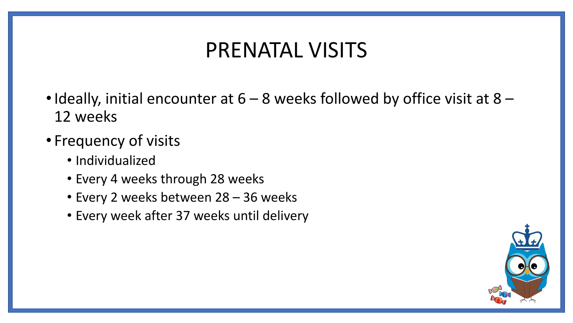### PRENATAL VISITS

- Ideally, initial encounter at  $6 8$  weeks followed by office visit at  $8 8$ 12 weeks
- Frequency of visits
	- Individualized
	- Every 4 weeks through 28 weeks
	- Every 2 weeks between 28 36 weeks
	- Every week after 37 weeks until delivery

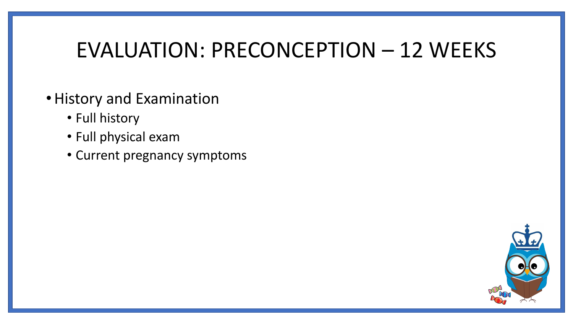### EVALUATION: PRECONCEPTION – 12 WEEKS

- •History and Examination
	- Full history
	- Full physical exam
	- Current pregnancy symptoms

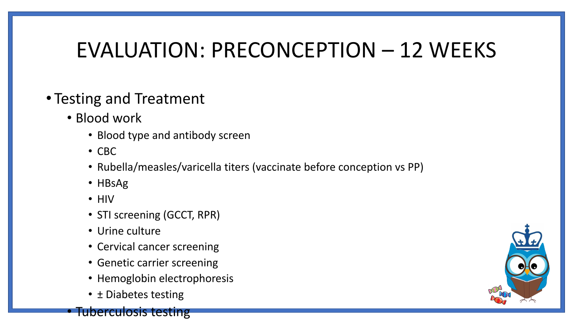### EVALUATION: PRECONCEPTION – 12 WEEKS

### • Testing and Treatment

- Blood work
	- Blood type and antibody screen
	- CBC
	- Rubella/measles/varicella titers (vaccinate before conception vs PP)
	- HBsAg
	- HIV
	- STI screening (GCCT, RPR)
	- Urine culture
	- Cervical cancer screening
	- Genetic carrier screening
	- Hemoglobin electrophoresis
	- ± Diabetes testing

**Fuberculosis testing** 

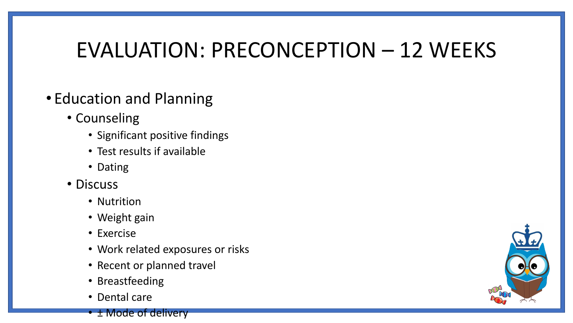## EVALUATION: PRECONCEPTION – 12 WEEKS

### • Education and Planning

- Counseling
	- Significant positive findings
	- Test results if available
	- Dating
- Discuss
	- Nutrition
	- Weight gain
	- Exercise
	- Work related exposures or risks
	- Recent or planned travel
	- Breastfeeding
	- Dental care
	- ± Mode of delivery

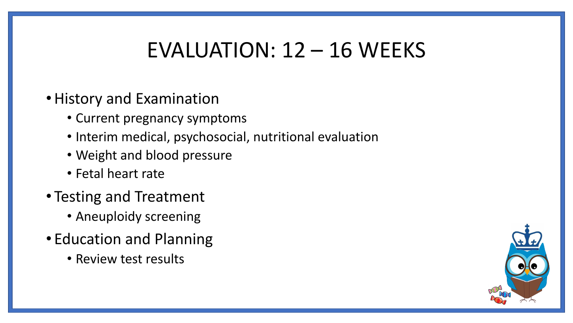### EVALUATION: 12 – 16 WEEKS

- Current pregnancy symptoms
- Interim medical, psychosocial, nutritional evaluation
- Weight and blood pressure
- Fetal heart rate
- Testing and Treatment
	- Aneuploidy screening
- Education and Planning
	- Review test results

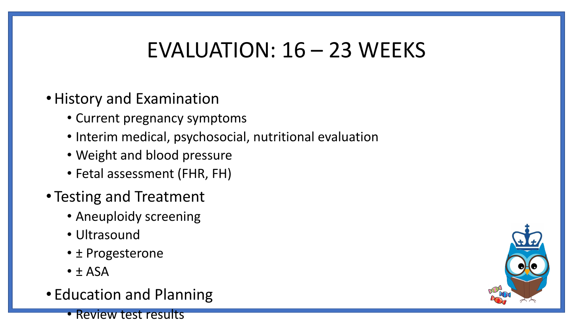### EVALUATION: 16 – 23 WEEKS

- Current pregnancy symptoms
- Interim medical, psychosocial, nutritional evaluation
- Weight and blood pressure
- Fetal assessment (FHR, FH)
- Testing and Treatment
	- Aneuploidy screening
	- Ultrasound
	- ± Progesterone
	- $\bullet$   $\pm$  ASA
- Education and Planning
	- Review test results

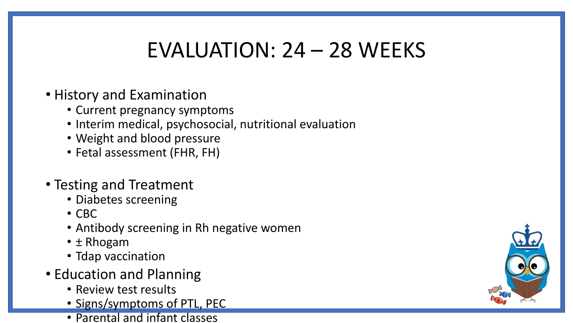### EVALUATION: 24 – 28 WEEKS

#### • History and Examination

- Current pregnancy symptoms
- Interim medical, psychosocial, nutritional evaluation
- Weight and blood pressure
- Fetal assessment (FHR, FH)

#### • Testing and Treatment

- Diabetes screening
- CBC
- Antibody screening in Rh negative women
- ± Rhogam
- Tdap vaccination
- Education and Planning
	- Review test results
	- Signs/symptoms of PTL, PEC
	- Parental and infant classes

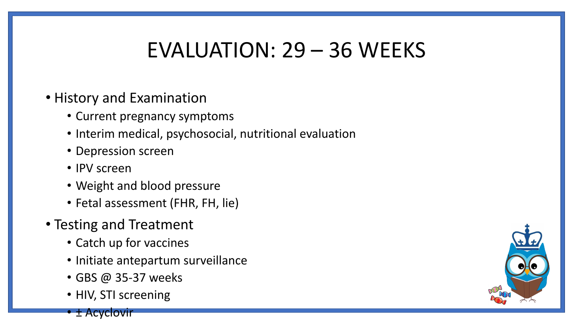### EVALUATION: 29 – 36 WEEKS

#### • History and Examination

- Current pregnancy symptoms
- Interim medical, psychosocial, nutritional evaluation
- Depression screen
- IPV screen
- Weight and blood pressure
- Fetal assessment (FHR, FH, lie)
- Testing and Treatment
	- Catch up for vaccines
	- Initiate antepartum surveillance
	- GBS @ 35-37 weeks
	- HIV, STI screening

• ± Acyclovir

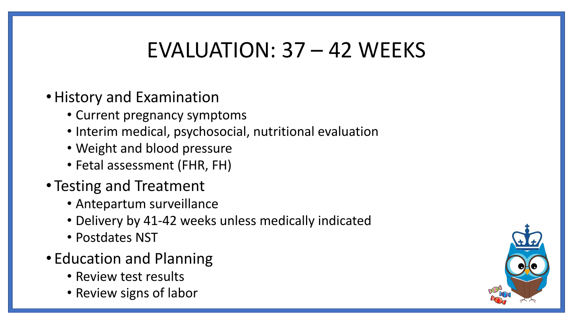### EVALUATION: 37 – 42 WEEKS

- Current pregnancy symptoms
- Interim medical, psychosocial, nutritional evaluation
- Weight and blood pressure
- Fetal assessment (FHR, FH)
- Testing and Treatment
	- Antepartum surveillance
	- Delivery by 41-42 weeks unless medically indicated
	- Postdates NST
- Education and Planning
	- Review test results
	- Review signs of labor

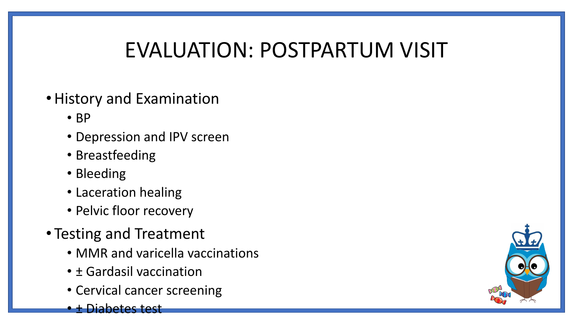## EVALUATION: POSTPARTUM VISIT

- BP
- Depression and IPV screen
- Breastfeeding
- Bleeding
- Laceration healing
- Pelvic floor recovery
- Testing and Treatment
	- MMR and varicella vaccinations
	- ± Gardasil vaccination
	- Cervical cancer screening
	- **Diabetes test**

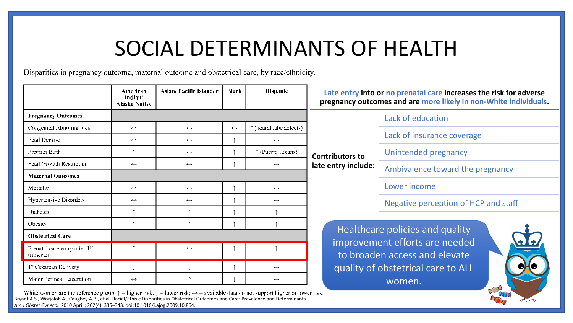### SOCIAL DETERMINANTS OF HEALTH

Disparities in pregnancy outcome, maternal outcome and obstetrical care, by race/ethnicity.

|                                                        | American<br>Indian/<br><b>Alaska Native</b> | Asian/ Pacific Islander | Black             | Hispanic                         | Late entry into or no prenatal care increases the risk for adverse<br>pregnancy outcomes and are more likely in non-White individuals. |                                  |
|--------------------------------------------------------|---------------------------------------------|-------------------------|-------------------|----------------------------------|----------------------------------------------------------------------------------------------------------------------------------------|----------------------------------|
| <b>Pregnancy Outcomes</b>                              |                                             |                         |                   |                                  | Lack of education                                                                                                                      |                                  |
| Congenital Abnormalities                               | $\leftrightarrow$                           | $\leftrightarrow$       | $\leftrightarrow$ | $\uparrow$ (neural tube defects) | <b>Contributors to</b><br>late entry include:                                                                                          |                                  |
| <b>Fetal Demisc</b>                                    | $\leftrightarrow$                           | $\leftrightarrow$       |                   | $\leftrightarrow$                |                                                                                                                                        | Lack of insurance coverage       |
| Preterin Birth                                         |                                             | $\leftrightarrow$       |                   | ↑ (Puerto Ricans)                |                                                                                                                                        | Unintended pregnancy             |
| <b>Fetal Growth Restriction</b>                        | $\leftrightarrow$                           | $\leftrightarrow$       |                   | $\leftrightarrow$                |                                                                                                                                        | Ambivalence toward the pregnancy |
| <b>Maternal Outcomes</b>                               |                                             |                         |                   |                                  |                                                                                                                                        |                                  |
| Mortality                                              | $\leftrightarrow$                           | $\leftrightarrow$       |                   | $\leftrightarrow$                | Lower income<br>Negative perception of HCP and staff<br>Healthcare policies and quality                                                |                                  |
| Hypertensive Disorders                                 | $\leftrightarrow$                           | $\leftrightarrow$       |                   | $\leftrightarrow$                |                                                                                                                                        |                                  |
| Diabetes                                               |                                             |                         |                   |                                  |                                                                                                                                        |                                  |
| Obesity                                                |                                             |                         |                   |                                  |                                                                                                                                        |                                  |
| <b>Obstetrical Care</b>                                |                                             |                         |                   |                                  |                                                                                                                                        |                                  |
| Prenatal care entry after 1 <sup>st</sup><br>trimester |                                             | $\leftrightarrow$       |                   |                                  | improvement efforts are needed<br>to broaden access and elevate<br>quality of obstetrical care to ALL<br>women.<br>$\mathcal{A}$       |                                  |
| 1° Cesarean Delivery                                   |                                             |                         |                   | $\leftrightarrow$                |                                                                                                                                        |                                  |
| Major Perineal Laceration                              | $\leftrightarrow$                           |                         |                   | $\leftrightarrow$                |                                                                                                                                        |                                  |

White women are the reference group.  $\uparrow$  = higher risk,  $\downarrow$  = lower risk;  $\leftrightarrow$  = available data do not support higher or lower risk.<br>Bryant A.S., Worjoloh A., Caughey A.B., et al. Racial/Ethnic Disparities in Obstetri *Am J Obstet Gynecol.* 2010 April ; 202(4): 335–343. doi:10.1016/j.ajog.2009.10.864.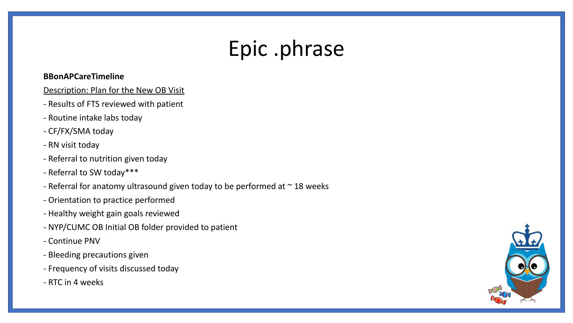### Epic .phrase

#### **BBonAPCareTimeline**

#### Description: Plan for the New OB Visit

- Results of FTS reviewed with patient
- Routine intake labs today
- CF/FX/SMA today
- RN visit today
- Referral to nutrition given today
- Referral to SW today\*\*\*
- Referral for anatomy ultrasound given today to be performed at  $\sim$  18 weeks
- Orientation to practice performed
- Healthy weight gain goals reviewed
- NYP/CUMC OB Initial OB folder provided to patient
- Continue PNV
- Bleeding precautions given
- Frequency of visits discussed today
- RTC in 4 weeks

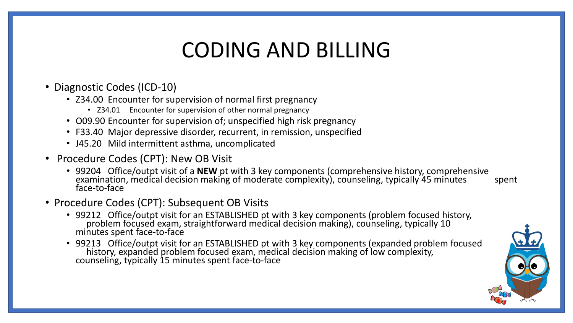### CODING AND BILLING

- Diagnostic Codes (ICD-10)
	- Z34.00 Encounter for supervision of normal first pregnancy
		- Z34.01 Encounter for supervision of other normal pregnancy
	- O09.90 Encounter for supervision of; unspecified high risk pregnancy
	- F33.40 Major depressive disorder, recurrent, in remission, unspecified
	- J45.20 Mild intermittent asthma, uncomplicated
- Procedure Codes (CPT): New OB Visit
	- 99204 Office/outpt visit of a **NEW** pt with 3 key components (comprehensive history, comprehensive examination, medical decision making of moderate complexity), counseling, typically 45 minutes spent face-to-face
- Procedure Codes (CPT): Subsequent OB Visits
	- 99212 Office/outpt visit for an ESTABLISHED pt with 3 key components (problem focused history, problem focused exam, straightforward medical decision making), counseling, typically 10 minutes spent face-to-face
	- 99213 Office/outpt visit for an ESTABLISHED pt with 3 key components (expanded problem focused history, expanded problem focused exam, medical decision making of low complexity, counseling, typically 15 minutes spent face-to-face